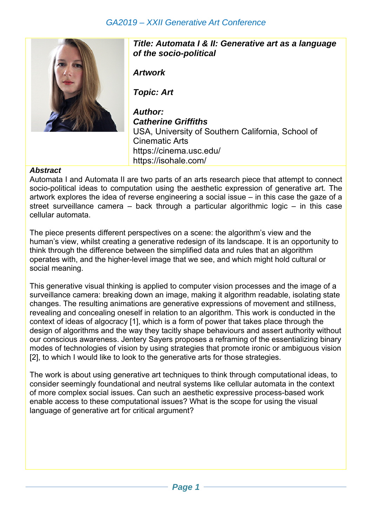## *GA2019 – XXII Generative Art Conference*



*Title: Automata I & II: Generative art as a language of the socio-political* 

*Artwork* 

*Topic: Art* 

*Author: Catherine Griffiths*  USA, University of Southern California, School of Cinematic Arts https://cinema.usc.edu/ https://isohale.com/

## *Abstract*

Automata I and Automata II are two parts of an arts research piece that attempt to connect socio-political ideas to computation using the aesthetic expression of generative art. The artwork explores the idea of reverse engineering a social issue – in this case the gaze of a street surveillance camera – back through a particular algorithmic logic – in this case cellular automata.

The piece presents different perspectives on a scene: the algorithm's view and the human's view, whilst creating a generative redesign of its landscape. It is an opportunity to think through the difference between the simplified data and rules that an algorithm operates with, and the higher-level image that we see, and which might hold cultural or social meaning.

This generative visual thinking is applied to computer vision processes and the image of a surveillance camera: breaking down an image, making it algorithm readable, isolating state changes. The resulting animations are generative expressions of movement and stillness, revealing and concealing oneself in relation to an algorithm. This work is conducted in the context of ideas of algocracy [1], which is a form of power that takes place through the design of algorithms and the way they tacitly shape behaviours and assert authority without our conscious awareness. Jentery Sayers proposes a reframing of the essentializing binary modes of technologies of vision by using strategies that promote ironic or ambiguous vision [2], to which I would like to look to the generative arts for those strategies.

The work is about using generative art techniques to think through computational ideas, to consider seemingly foundational and neutral systems like cellular automata in the context of more complex social issues. Can such an aesthetic expressive process-based work enable access to these computational issues? What is the scope for using the visual language of generative art for critical argument?

*Page 1* –